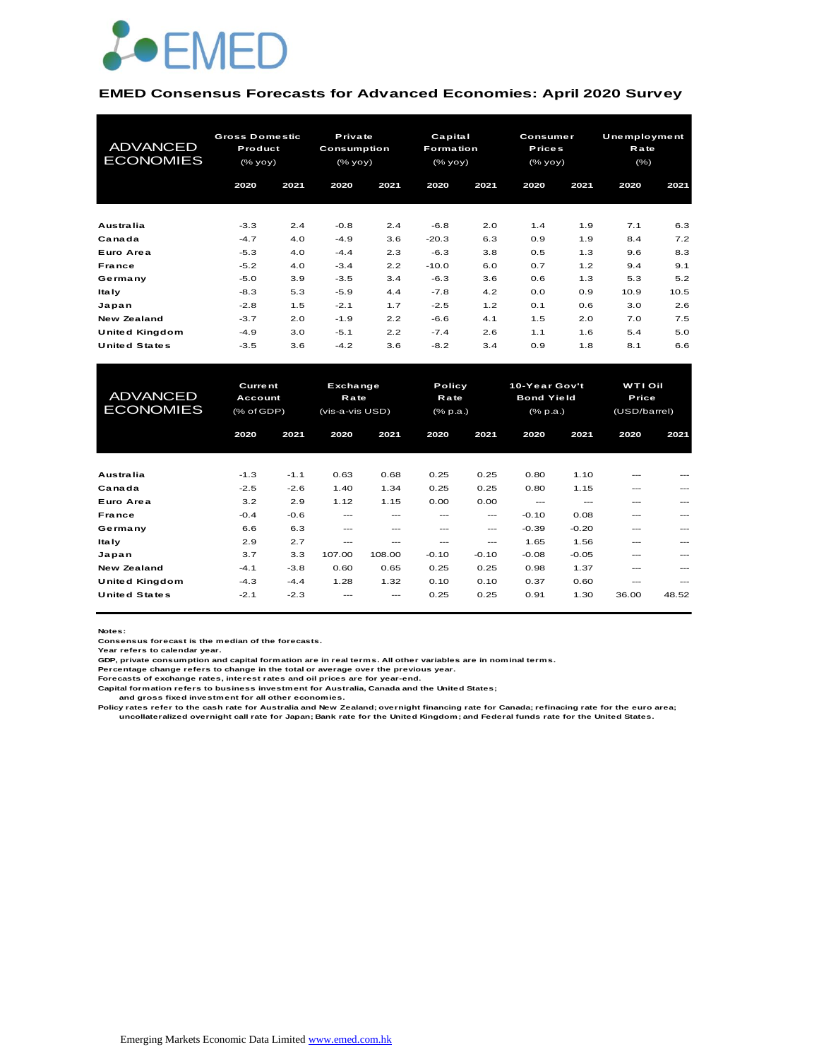

#### **EMED Consensus Forecasts for Advanced Economies: April 2020 Survey**

| <b>ADVANCED</b><br><b>ECONOMIES</b> | <b>Gross Domestic</b><br>Product<br>(% |      | Private<br>Consumption<br>$(\%$ yoy $)$ |      | Capital<br><b>Formation</b><br>(% |      | <b>Consumer</b><br><b>Prices</b><br>(% yoy) |      | Unemployment<br>Rate<br>$(\% )$ |      |
|-------------------------------------|----------------------------------------|------|-----------------------------------------|------|-----------------------------------|------|---------------------------------------------|------|---------------------------------|------|
|                                     | 2020                                   | 2021 | 2020                                    | 2021 | 2020                              | 2021 | 2020                                        | 2021 | 2020                            | 2021 |
| Australia                           | $-3.3$                                 | 2.4  | $-0.8$                                  | 2.4  | $-6.8$                            | 2.0  | 1.4                                         | 1.9  | 7.1                             | 6.3  |
| Canada                              | $-4.7$                                 | 4.0  | $-4.9$                                  | 3.6  | $-20.3$                           | 6.3  | 0.9                                         | 1.9  | 8.4                             | 7.2  |
| Euro Area                           | $-5.3$                                 | 4.0  | $-4.4$                                  | 2.3  | $-6.3$                            | 3.8  | 0.5                                         | 1.3  | 9.6                             | 8.3  |
| France                              | $-5.2$                                 | 4.0  | $-3.4$                                  | 2.2  | $-10.0$                           | 6.0  | 0.7                                         | 1.2  | 9.4                             | 9.1  |
| Germany                             | $-5.0$                                 | 3.9  | $-3.5$                                  | 3.4  | $-6.3$                            | 3.6  | 0.6                                         | 1.3  | 5.3                             | 5.2  |
| <b>Italy</b>                        | $-8.3$                                 | 5.3  | $-5.9$                                  | 4.4  | $-7.8$                            | 4.2  | 0.0                                         | 0.9  | 10.9                            | 10.5 |
| Japan                               | $-2.8$                                 | 1.5  | $-2.1$                                  | 1.7  | $-2.5$                            | 1.2  | 0.1                                         | 0.6  | 3.0                             | 2.6  |
| <b>New Zealand</b>                  | $-3.7$                                 | 2.0  | $-1.9$                                  | 2.2  | $-6.6$                            | 4.1  | 1.5                                         | 2.0  | 7.0                             | 7.5  |
| United Kingdom                      | $-4.9$                                 | 3.0  | $-5.1$                                  | 2.2  | $-7.4$                            | 2.6  | 1.1                                         | 1.6  | 5.4                             | 5.0  |
| <b>United States</b>                | $-3.5$                                 | 3.6  | $-4.2$                                  | 3.6  | $-8.2$                            | 3.4  | 0.9                                         | 1.8  | 8.1                             | 6.6  |

| United Kingdom                      | $-4.9$                                  | 3.0    | $-5.1$                                     | 2.2    | $-7.4$                            | 2.6     | 1.1                                                   | 1.6           | 5.4                                     | 5.0   |
|-------------------------------------|-----------------------------------------|--------|--------------------------------------------|--------|-----------------------------------|---------|-------------------------------------------------------|---------------|-----------------------------------------|-------|
| <b>United States</b>                | $-3.5$                                  | 3.6    | $-4.2$                                     | 3.6    | $-8.2$                            | 3.4     | 0.9                                                   | 1.8           | 8.1                                     | 6.6   |
|                                     |                                         |        |                                            |        |                                   |         |                                                       |               |                                         |       |
| <b>ADVANCED</b><br><b>ECONOMIES</b> | <b>Current</b><br>Account<br>(% of GDP) |        | Exchange<br><b>Rate</b><br>(vis-a-vis USD) |        | Policy<br>Rate<br>$(%$ $(% p.a.)$ |         | 10-Year Gov't<br><b>Bond Yield</b><br>$(%$ $(% p.a.)$ |               | <b>WTI Oil</b><br>Price<br>(USD/barrel) |       |
|                                     | 2020                                    | 2021   | 2020                                       | 2021   | 2020                              | 2021    | 2020                                                  | 2021          | 2020                                    | 2021  |
|                                     |                                         |        |                                            |        |                                   |         |                                                       |               |                                         |       |
| Australia                           | $-1.3$                                  | $-1.1$ | 0.63                                       | 0.68   | 0.25                              | 0.25    | 0.80                                                  | 1.10          | $---$                                   |       |
| Canada                              | $-2.5$                                  | $-2.6$ | 1.40                                       | 1.34   | 0.25                              | 0.25    | 0.80                                                  | 1.15          | $---$                                   |       |
| Euro Area                           | 3.2                                     | 2.9    | 1.12                                       | 1.15   | 0.00                              | 0.00    | $---$                                                 | $\frac{1}{2}$ | ---                                     |       |
| France                              | $-0.4$                                  | $-0.6$ | ---                                        | ---    | $---$                             | ---     | $-0.10$                                               | 0.08          | ---                                     | $---$ |
| Germany                             | 6.6                                     | 6.3    | $---$                                      | ---    | ---                               | ---     | $-0.39$                                               | $-0.20$       | ---                                     |       |
| <b>Italy</b>                        | 2.9                                     | 2.7    | ---                                        | ---    | ---                               | ---     | 1.65                                                  | 1.56          | ---                                     |       |
| Japan                               | 3.7                                     | 3.3    | 107.00                                     | 108.00 | $-0.10$                           | $-0.10$ | $-0.08$                                               | $-0.05$       | ---                                     |       |
| <b>New Zealand</b>                  | $-4.1$                                  | $-3.8$ | 0.60                                       | 0.65   | 0.25                              | 0.25    | 0.98                                                  | 1.37          | ---                                     |       |
| <b>United Kingdom</b>               | $-4.3$                                  | $-4.4$ | 1.28                                       | 1.32   | 0.10                              | 0.10    | 0.37                                                  | 0.60          | $---$                                   | ---   |
| <b>United States</b>                | $-2.1$                                  | $-2.3$ |                                            |        | 0.25                              | 0.25    | 0.91                                                  | 1.30          | 36.00                                   | 48.52 |

**Notes:** 

**Consensus forecast is the median of the forecasts. Year refers to calendar year.**

**GDP, private consumption and capital formation are in real terms. All other variables are in nominal terms.**

**Percentage change refers to change in the total or average over the previous year. Forecasts of exchange rates, interest rates and oil prices are for year-end.**

**Capital formation refers to business investment for Australia, Canada and the United States;**

 **and gross fixed investment for all other economies.**

Policy rates refer to the cash rate for Australia and New Zealand; overnight financing rate for Canada; refinacing rate for the euro area;<br>uncollateralized overnight call rate for Japan; Bank rate for the United Kingdom; a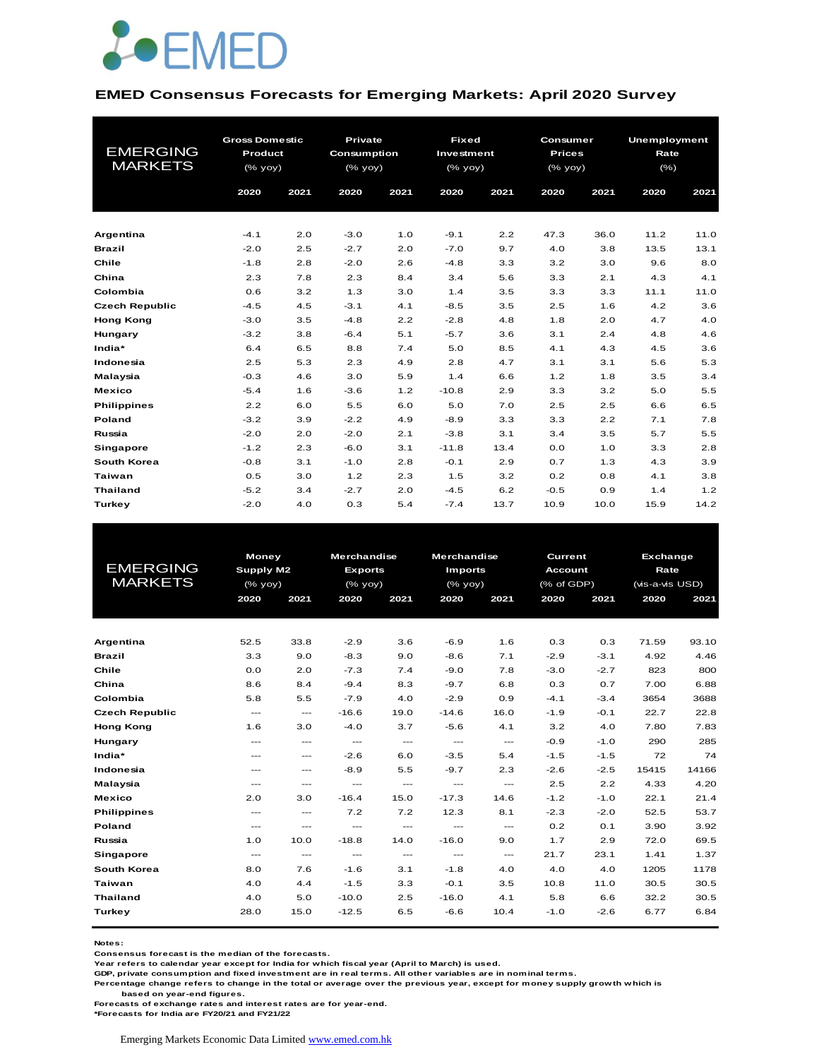

#### **EMED Consensus Forecasts for Emerging Markets: April 2020 Survey**

| <b>EMERGING</b><br><b>MARKETS</b> | <b>Gross Domestic</b><br>Product<br>(% yoy) |      | <b>Private</b><br>Consumption<br>(% yoy) |      | <b>Fixed</b><br>Investment<br>$(%$ $\sqrt{oy}$ $\sqrt{oy}$ ) |      | Consumer<br><b>Prices</b><br>$(%$ $\sqrt{oy}$ $\sqrt{oy}$ |      | <b>Unemployment</b><br>Rate<br>$(\% )$ |      |
|-----------------------------------|---------------------------------------------|------|------------------------------------------|------|--------------------------------------------------------------|------|-----------------------------------------------------------|------|----------------------------------------|------|
|                                   | 2020                                        | 2021 | 2020                                     | 2021 | 2020                                                         | 2021 | 2020                                                      | 2021 | 2020                                   | 2021 |
|                                   |                                             |      |                                          |      |                                                              |      |                                                           |      |                                        |      |
| Argentina                         | $-4.1$                                      | 2.0  | $-3.0$                                   | 1.0  | $-9.1$                                                       | 2.2  | 47.3                                                      | 36.0 | 11.2                                   | 11.0 |
| <b>Brazil</b>                     | $-2.0$                                      | 2.5  | $-2.7$                                   | 2.0  | $-7.0$                                                       | 9.7  | 4.0                                                       | 3.8  | 13.5                                   | 13.1 |
| Chile                             | $-1.8$                                      | 2.8  | $-2.0$                                   | 2.6  | $-4.8$                                                       | 3.3  | 3.2                                                       | 3.0  | 9.6                                    | 8.0  |
| China                             | 2.3                                         | 7.8  | 2.3                                      | 8.4  | 3.4                                                          | 5.6  | 3.3                                                       | 2.1  | 4.3                                    | 4.1  |
| Colombia                          | 0.6                                         | 3.2  | 1.3                                      | 3.0  | 1.4                                                          | 3.5  | 3.3                                                       | 3.3  | 11.1                                   | 11.0 |
| <b>Czech Republic</b>             | $-4.5$                                      | 4.5  | $-3.1$                                   | 4.1  | $-8.5$                                                       | 3.5  | 2.5                                                       | 1.6  | 4.2                                    | 3.6  |
| <b>Hong Kong</b>                  | $-3.0$                                      | 3.5  | $-4.8$                                   | 2.2  | $-2.8$                                                       | 4.8  | 1.8                                                       | 2.0  | 4.7                                    | 4.0  |
| Hungary                           | $-3.2$                                      | 3.8  | $-6.4$                                   | 5.1  | $-5.7$                                                       | 3.6  | 3.1                                                       | 2.4  | 4.8                                    | 4.6  |
| India*                            | 6.4                                         | 6.5  | 8.8                                      | 7.4  | 5.0                                                          | 8.5  | 4.1                                                       | 4.3  | 4.5                                    | 3.6  |
| Indonesia                         | 2.5                                         | 5.3  | 2.3                                      | 4.9  | 2.8                                                          | 4.7  | 3.1                                                       | 3.1  | 5.6                                    | 5.3  |
| Malaysia                          | $-0.3$                                      | 4.6  | 3.0                                      | 5.9  | 1.4                                                          | 6.6  | 1.2                                                       | 1.8  | 3.5                                    | 3.4  |
| <b>Mexico</b>                     | $-5.4$                                      | 1.6  | $-3.6$                                   | 1.2  | $-10.8$                                                      | 2.9  | 3.3                                                       | 3.2  | 5.0                                    | 5.5  |
| <b>Philippines</b>                | 2.2                                         | 6.0  | 5.5                                      | 6.0  | 5.0                                                          | 7.0  | 2.5                                                       | 2.5  | 6.6                                    | 6.5  |
| Poland                            | $-3.2$                                      | 3.9  | $-2.2$                                   | 4.9  | $-8.9$                                                       | 3.3  | 3.3                                                       | 2.2  | 7.1                                    | 7.8  |
| Russia                            | $-2.0$                                      | 2.0  | $-2.0$                                   | 2.1  | $-3.8$                                                       | 3.1  | 3.4                                                       | 3.5  | 5.7                                    | 5.5  |
| Singapore                         | $-1.2$                                      | 2.3  | $-6.0$                                   | 3.1  | $-11.8$                                                      | 13.4 | 0.0                                                       | 1.0  | 3.3                                    | 2.8  |
| South Korea                       | $-0.8$                                      | 3.1  | $-1.0$                                   | 2.8  | $-0.1$                                                       | 2.9  | 0.7                                                       | 1.3  | 4.3                                    | 3.9  |
| <b>Taiwan</b>                     | 0.5                                         | 3.0  | 1.2                                      | 2.3  | 1.5                                                          | 3.2  | 0.2                                                       | 0.8  | 4.1                                    | 3.8  |
| <b>Thailand</b>                   | $-5.2$                                      | 3.4  | $-2.7$                                   | 2.0  | $-4.5$                                                       | 6.2  | $-0.5$                                                    | 0.9  | 1.4                                    | 1.2  |
| Turkey                            | $-2.0$                                      | 4.0  | 0.3                                      | 5.4  | $-7.4$                                                       | 13.7 | 10.9                                                      | 10.0 | 15.9                                   | 14.2 |

|                       | <b>Money</b>     |                                          | <b>Merchandise</b>     |          | <b>Merchandise</b>     |               | Current                   |        | <b>Exchange</b>                                          |       |  |
|-----------------------|------------------|------------------------------------------|------------------------|----------|------------------------|---------------|---------------------------|--------|----------------------------------------------------------|-------|--|
| <b>EMERGING</b>       | <b>Supply M2</b> |                                          | <b>Exports</b>         |          | <b>Imports</b>         |               | <b>Account</b>            |        | Rate<br>(vis-a-vis USD)<br>2020<br>2021<br>71.59<br>4.92 |       |  |
| <b>MARKETS</b>        | $(%$ (% yoy)     |                                          | (% yoy)                |          | (% yoy)                |               | $(% \overline{G}$ of GDP) |        |                                                          |       |  |
|                       | 2020             | 2021                                     | 2020                   | 2021     | 2020                   | 2021          | 2020                      | 2021   |                                                          |       |  |
|                       |                  |                                          |                        |          |                        |               |                           |        |                                                          |       |  |
|                       |                  |                                          |                        |          |                        |               |                           |        |                                                          |       |  |
| Argentina             | 52.5             | 33.8                                     | $-2.9$                 | 3.6      | $-6.9$                 | 1.6           | 0.3                       | 0.3    |                                                          | 93.10 |  |
| <b>Brazil</b>         | 3.3              | 9.0                                      | $-8.3$                 | 9.0      | $-8.6$                 | 7.1           | $-2.9$                    | $-3.1$ |                                                          | 4.46  |  |
| Chile                 | 0.0              | 2.0                                      | $-7.3$                 | 7.4      | $-9.0$                 | 7.8           | $-3.0$                    | $-2.7$ | 823                                                      | 800   |  |
| China                 | 8.6              | 8.4                                      | $-9.4$                 | 8.3      | $-9.7$                 | 6.8           | 0.3                       | 0.7    | 7.00                                                     | 6.88  |  |
| Colombia              | 5.8              | 5.5                                      | $-7.9$                 | 4.0      | $-2.9$                 | 0.9           | $-4.1$                    | $-3.4$ | 3654                                                     | 3688  |  |
| <b>Czech Republic</b> | $\frac{1}{2}$    | $\hspace{0.05cm} \ldots \hspace{0.05cm}$ | $-16.6$                | 19.0     | $-14.6$                | 16.0          | $-1.9$                    | $-0.1$ | 22.7                                                     | 22.8  |  |
| <b>Hong Kong</b>      | 1.6              | 3.0                                      | $-4.0$                 | 3.7      | $-5.6$                 | 4.1           | 3.2                       | 4.0    | 7.80                                                     | 7.83  |  |
| Hungary               | $-$              | $\cdots$                                 | $\cdots$               | $\cdots$ | $\cdots$               | $\cdots$      | $-0.9$                    | $-1.0$ | 290                                                      | 285   |  |
| India*                | $---$            | $\qquad \qquad \cdots$                   | $-2.6$                 | 6.0      | $-3.5$                 | 5.4           | $-1.5$                    | $-1.5$ | 72                                                       | 74    |  |
| Indonesia             | $---$            | $\hspace{0.05cm} \ldots \hspace{0.05cm}$ | $-8.9$                 | 5.5      | $-9.7$                 | 2.3           | $-2.6$                    | $-2.5$ | 15415                                                    | 14166 |  |
| Malaysia              | $---$            | $---$                                    | $\qquad \qquad \cdots$ | ---      | $\qquad \qquad \cdots$ | ---           | 2.5                       | 2.2    | 4.33                                                     | 4.20  |  |
| <b>Mexico</b>         | 2.0              | 3.0                                      | $-16.4$                | 15.0     | $-17.3$                | 14.6          | $-1.2$                    | $-1.0$ | 22.1                                                     | 21.4  |  |
| <b>Philippines</b>    | $---$            | $\frac{1}{2}$                            | 7.2                    | 7.2      | 12.3                   | 8.1           | $-2.3$                    | $-2.0$ | 52.5                                                     | 53.7  |  |
| Poland                | $---$            | $\qquad \qquad -$                        | $---$                  | $\cdots$ | $---$                  | $\frac{1}{2}$ | 0.2                       | 0.1    | 3.90                                                     | 3.92  |  |
| Russia                | 1.0              | 10.0                                     | $-18.8$                | 14.0     | $-16.0$                | 9.0           | 1.7                       | 2.9    | 72.0                                                     | 69.5  |  |
| Singapore             | $\cdots$         | $\cdots$                                 | ---                    | $\cdots$ | $\cdots$               | $\cdots$      | 21.7                      | 23.1   | 1.41                                                     | 1.37  |  |
| South Korea           | 8.0              | 7.6                                      | $-1.6$                 | 3.1      | $-1.8$                 | 4.0           | 4.0                       | 4.0    | 1205                                                     | 1178  |  |
| Taiwan                | 4.0              | 4.4                                      | $-1.5$                 | 3.3      | $-0.1$                 | 3.5           | 10.8                      | 11.0   | 30.5                                                     | 30.5  |  |
| <b>Thailand</b>       | 4.0              | 5.0                                      | $-10.0$                | 2.5      | $-16.0$                | 4.1           | 5.8                       | 6.6    | 32.2                                                     | 30.5  |  |
| <b>Turkey</b>         | 28.0             | 15.0                                     | $-12.5$                | 6.5      | $-6.6$                 | 10.4          | $-1.0$                    | $-2.6$ | 6.77                                                     | 6.84  |  |
|                       |                  |                                          |                        |          |                        |               |                           |        |                                                          |       |  |

**Notes:** 

**Consensus forecast is the median of the forecasts.**

**Year refers to calendar year except for India for which fiscal year (April to March) is used.**

**GDP, private consumption and fixed investment are in real terms. All other variables are in nominal terms.**

**Percentage change refers to change in the total or average over the previous year, except for money supply growth which is** 

 **based on year-end figures.**

**Forecasts of exchange rates and interest rates are for year-end.**

**\*Forecasts for India are FY20/21 and FY21/22**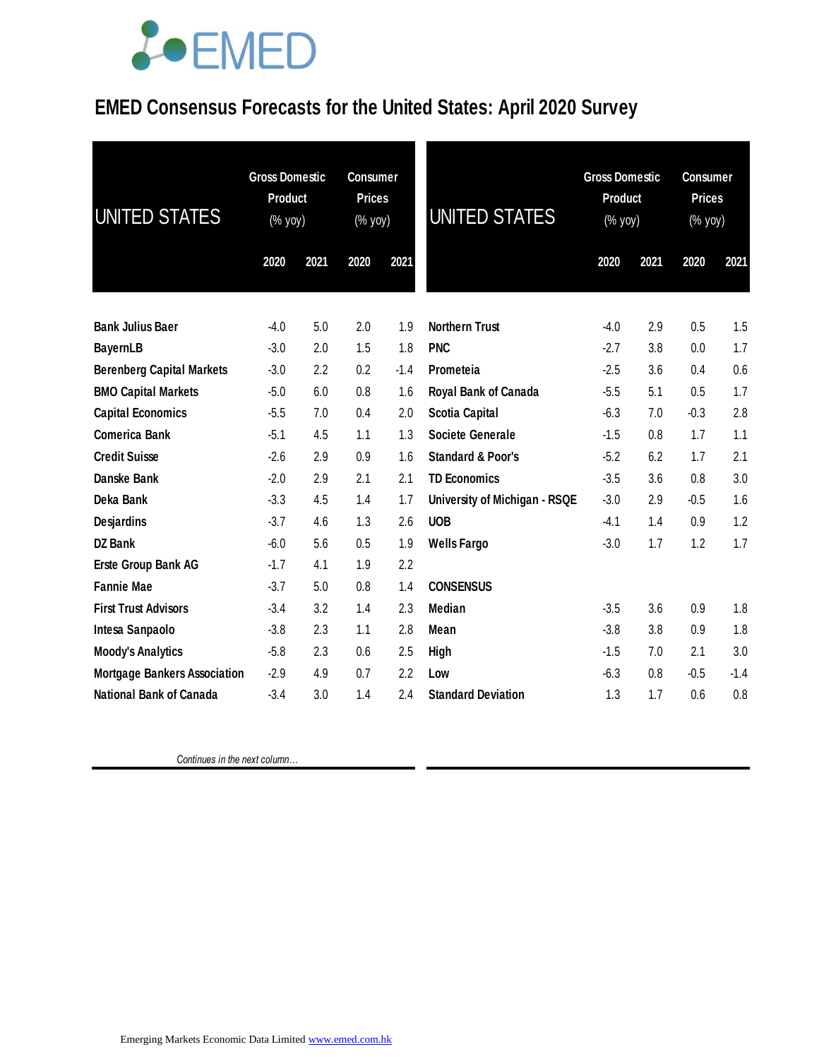

### **EMED Consensus Forecasts for the United States: April 2020 Survey**

| UNITED STATES                       | <b>Gross Domestic</b><br><b>Product</b><br>(% yoy) |      | <b>Consumer</b><br><b>Prices</b><br>(% yoy) |        | <b>UNITED STATES</b>          | <b>Gross Domestic</b><br><b>Product</b><br>(% yoy) |      | <b>Consumer</b><br><b>Prices</b><br>(% yoy) |        |
|-------------------------------------|----------------------------------------------------|------|---------------------------------------------|--------|-------------------------------|----------------------------------------------------|------|---------------------------------------------|--------|
|                                     | 2020                                               | 2021 | 2020                                        | 2021   |                               | 2020                                               | 2021 | 2020                                        | 2021   |
| <b>Bank Julius Baer</b>             | $-4.0$                                             | 5.0  | 2.0                                         | 1.9    | <b>Northern Trust</b>         | $-4.0$                                             | 2.9  | 0.5                                         | 1.5    |
| <b>BayernLB</b>                     | $-3.0$                                             | 2.0  | 1.5                                         | 1.8    | <b>PNC</b>                    | $-2.7$                                             | 3.8  | 0.0                                         | 1.7    |
| <b>Berenberg Capital Markets</b>    | $-3.0$                                             | 2.2  | 0.2                                         | $-1.4$ | Prometeia                     | $-2.5$                                             | 3.6  | 0.4                                         | 0.6    |
| <b>BMO Capital Markets</b>          | $-5.0$                                             | 6.0  | 0.8                                         | 1.6    | Royal Bank of Canada          | $-5.5$                                             | 5.1  | 0.5                                         | 1.7    |
| <b>Capital Economics</b>            | $-5.5$                                             | 7.0  | 0.4                                         | 2.0    | <b>Scotia Capital</b>         | $-6.3$                                             | 7.0  | $-0.3$                                      | 2.8    |
| <b>Comerica Bank</b>                | $-5.1$                                             | 4.5  | 1.1                                         | 1.3    | <b>Societe Generale</b>       | $-1.5$                                             | 0.8  | 1.7                                         | 1.1    |
| <b>Credit Suisse</b>                | $-2.6$                                             | 2.9  | 0.9                                         | 1.6    | <b>Standard &amp; Poor's</b>  | $-5.2$                                             | 6.2  | 1.7                                         | 2.1    |
| Danske Bank                         | $-2.0$                                             | 2.9  | 2.1                                         | 2.1    | <b>TD Economics</b>           | $-3.5$                                             | 3.6  | 0.8                                         | 3.0    |
| Deka Bank                           | $-3.3$                                             | 4.5  | 1.4                                         | 1.7    | University of Michigan - RSQE | $-3.0$                                             | 2.9  | $-0.5$                                      | 1.6    |
| <b>Desjardins</b>                   | $-3.7$                                             | 4.6  | 1.3                                         | 2.6    | <b>UOB</b>                    | $-4.1$                                             | 1.4  | 0.9                                         | 1.2    |
| DZ Bank                             | $-6.0$                                             | 5.6  | 0.5                                         | 1.9    | <b>Wells Fargo</b>            | $-3.0$                                             | 1.7  | 1.2                                         | 1.7    |
| Erste Group Bank AG                 | $-1.7$                                             | 4.1  | 1.9                                         | 2.2    |                               |                                                    |      |                                             |        |
| <b>Fannie Mae</b>                   | $-3.7$                                             | 5.0  | 0.8                                         | 1.4    | <b>CONSENSUS</b>              |                                                    |      |                                             |        |
| <b>First Trust Advisors</b>         | $-3.4$                                             | 3.2  | 1.4                                         | 2.3    | <b>Median</b>                 | $-3.5$                                             | 3.6  | 0.9                                         | 1.8    |
| Intesa Sanpaolo                     | $-3.8$                                             | 2.3  | 1.1                                         | 2.8    | Mean                          | $-3.8$                                             | 3.8  | 0.9                                         | 1.8    |
| <b>Moody's Analytics</b>            | $-5.8$                                             | 2.3  | 0.6                                         | 2.5    | High                          | $-1.5$                                             | 7.0  | 2.1                                         | 3.0    |
| <b>Mortgage Bankers Association</b> | $-2.9$                                             | 4.9  | 0.7                                         | 2.2    | Low                           | $-6.3$                                             | 0.8  | $-0.5$                                      | $-1.4$ |
| National Bank of Canada             | $-3.4$                                             | 3.0  | 1.4                                         | 2.4    | <b>Standard Deviation</b>     | 1.3                                                | 1.7  | 0.6                                         | 0.8    |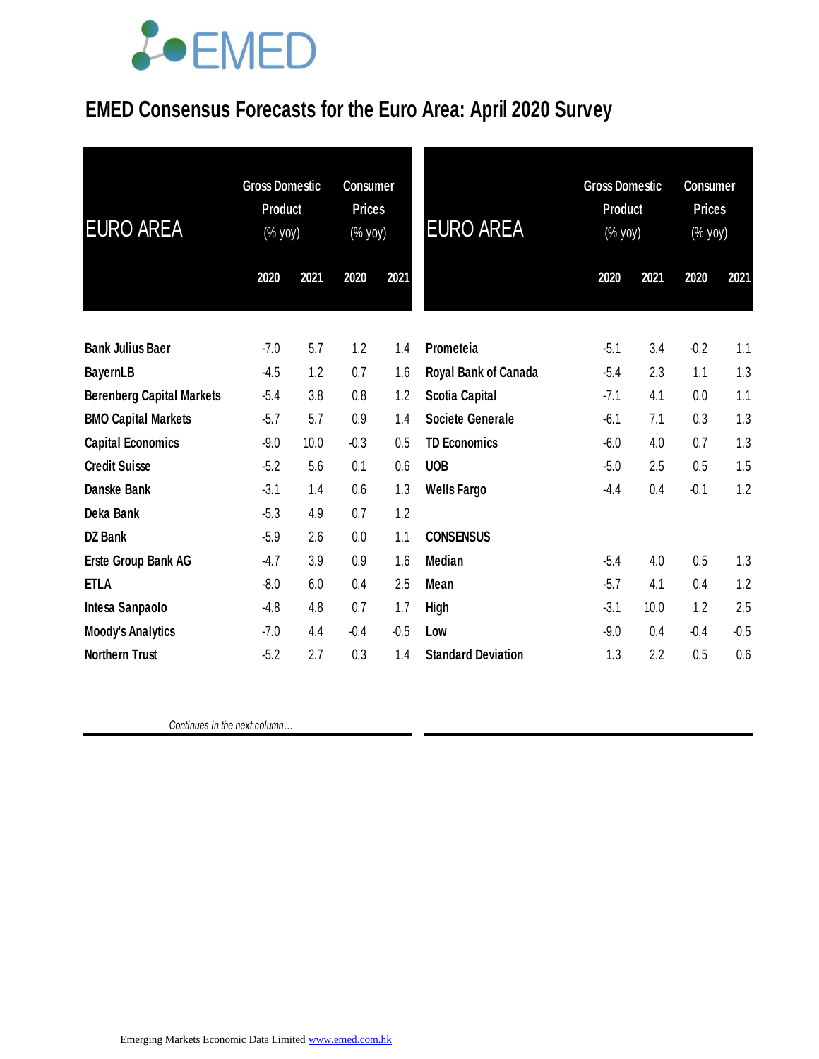

## **EMED Consensus Forecasts for the Euro Area: April 2020 Survey**

| <b>EURO AREA</b>                 | <b>Gross Domestic</b><br><b>Product</b><br>$(\%$ yoy) |      | <b>Consumer</b><br><b>Prices</b><br>(% yoy) |        | <b>EURO AREA</b>          | <b>Gross Domestic</b><br><b>Product</b><br>(% yoy) |      | <b>Consumer</b><br><b>Prices</b><br>(% yoy) |        |
|----------------------------------|-------------------------------------------------------|------|---------------------------------------------|--------|---------------------------|----------------------------------------------------|------|---------------------------------------------|--------|
|                                  | 2020                                                  | 2021 | 2020                                        | 2021   |                           | 2020                                               | 2021 | 2020                                        | 2021   |
| <b>Bank Julius Baer</b>          | $-7.0$                                                | 5.7  | 1.2                                         | 1.4    | Prometeia                 | $-5.1$                                             | 3.4  | $-0.2$                                      | 1.1    |
| <b>BayernLB</b>                  | $-4.5$                                                | 1.2  | 0.7                                         | 1.6    | Royal Bank of Canada      | $-5.4$                                             | 2.3  | 1.1                                         | 1.3    |
| <b>Berenberg Capital Markets</b> | $-5.4$                                                | 3.8  | 0.8                                         | 1.2    | Scotia Capital            | $-7.1$                                             | 4.1  | 0.0                                         | 1.1    |
| <b>BMO Capital Markets</b>       | $-5.7$                                                | 5.7  | 0.9                                         | 1.4    | <b>Societe Generale</b>   | $-6.1$                                             | 7.1  | 0.3                                         | 1.3    |
| <b>Capital Economics</b>         | $-9.0$                                                | 10.0 | $-0.3$                                      | 0.5    | <b>TD Economics</b>       | $-6.0$                                             | 4.0  | 0.7                                         | 1.3    |
| <b>Credit Suisse</b>             | $-5.2$                                                | 5.6  | 0.1                                         | 0.6    | <b>UOB</b>                | $-5.0$                                             | 2.5  | 0.5                                         | 1.5    |
| Danske Bank                      | $-3.1$                                                | 1.4  | 0.6                                         | 1.3    | <b>Wells Fargo</b>        | $-4.4$                                             | 0.4  | $-0.1$                                      | 1.2    |
| Deka Bank                        | $-5.3$                                                | 4.9  | 0.7                                         | 1.2    |                           |                                                    |      |                                             |        |
| <b>DZ Bank</b>                   | $-5.9$                                                | 2.6  | 0.0                                         | 1.1    | <b>CONSENSUS</b>          |                                                    |      |                                             |        |
| Erste Group Bank AG              | $-4.7$                                                | 3.9  | 0.9                                         | 1.6    | <b>Median</b>             | $-5.4$                                             | 4.0  | 0.5                                         | 1.3    |
| <b>ETLA</b>                      | $-8.0$                                                | 6.0  | 0.4                                         | 2.5    | Mean                      | $-5.7$                                             | 4.1  | 0.4                                         | 1.2    |
| Intesa Sanpaolo                  | $-4.8$                                                | 4.8  | 0.7                                         | 1.7    | High                      | $-3.1$                                             | 10.0 | 1.2                                         | 2.5    |
| <b>Moody's Analytics</b>         | $-7.0$                                                | 4.4  | $-0.4$                                      | $-0.5$ | Low                       | $-9.0$                                             | 0.4  | $-0.4$                                      | $-0.5$ |
| <b>Northern Trust</b>            | $-5.2$                                                | 2.7  | 0.3                                         | 1.4    | <b>Standard Deviation</b> | 1.3                                                | 2.2  | 0.5                                         | 0.6    |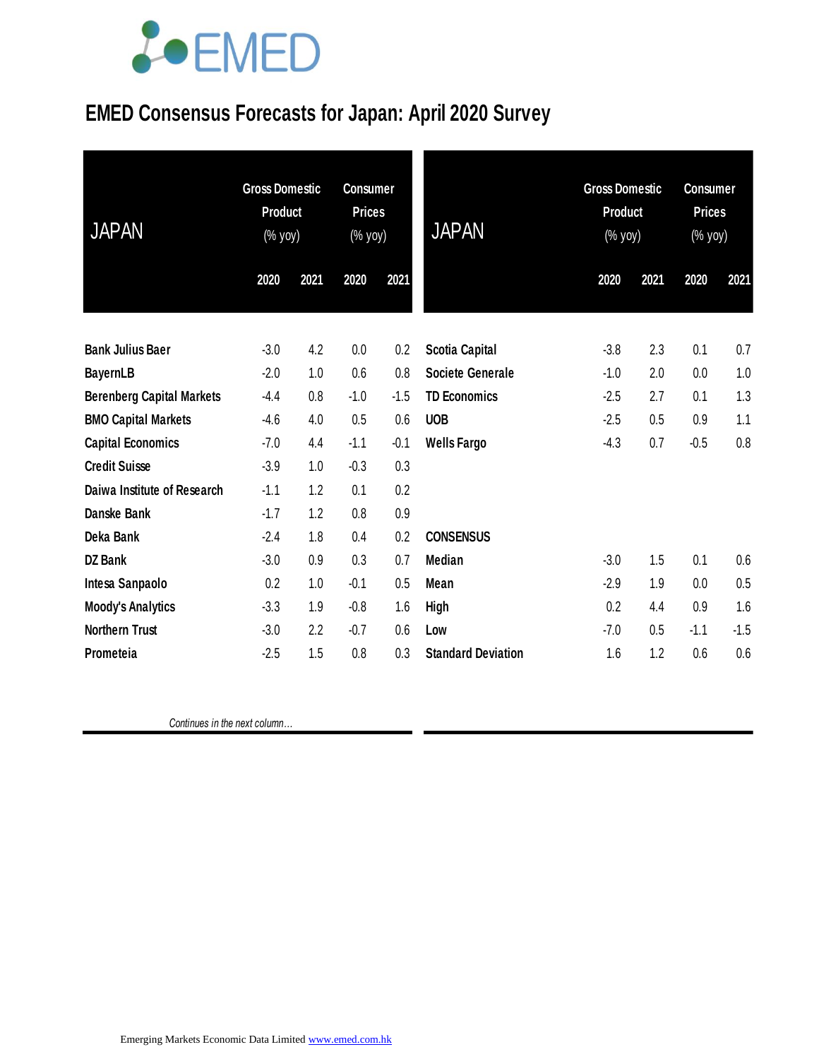

### **EMED Consensus Forecasts for Japan: April 2020 Survey**

| <b>JAPAN</b>                     | <b>Gross Domestic</b><br><b>Product</b><br>(% yoy) |      | <b>Consumer</b><br><b>Prices</b><br>(% yoy) |        | <b>JAPAN</b>              | <b>Gross Domestic</b><br><b>Product</b><br>(% yoy) |      | <b>Consumer</b><br><b>Prices</b><br>(% yoy) |        |
|----------------------------------|----------------------------------------------------|------|---------------------------------------------|--------|---------------------------|----------------------------------------------------|------|---------------------------------------------|--------|
|                                  | 2020                                               | 2021 | 2020                                        | 2021   |                           | 2020                                               | 2021 | 2020                                        | 2021   |
| <b>Bank Julius Baer</b>          | $-3.0$                                             | 4.2  | 0.0                                         | 0.2    | <b>Scotia Capital</b>     | $-3.8$                                             | 2.3  | 0.1                                         | 0.7    |
| <b>BayernLB</b>                  | $-2.0$                                             | 1.0  | 0.6                                         | 0.8    | <b>Societe Generale</b>   | $-1.0$                                             | 2.0  | 0.0                                         | 1.0    |
| <b>Berenberg Capital Markets</b> | $-4.4$                                             | 0.8  | $-1.0$                                      | $-1.5$ | <b>TD Economics</b>       | $-2.5$                                             | 2.7  | 0.1                                         | 1.3    |
| <b>BMO Capital Markets</b>       | $-4.6$                                             | 4.0  | 0.5                                         | 0.6    | <b>UOB</b>                | $-2.5$                                             | 0.5  | 0.9                                         | 1.1    |
| <b>Capital Economics</b>         | $-7.0$                                             | 4.4  | $-1.1$                                      | $-0.1$ | <b>Wells Fargo</b>        | $-4.3$                                             | 0.7  | $-0.5$                                      | 0.8    |
| <b>Credit Suisse</b>             | $-3.9$                                             | 1.0  | $-0.3$                                      | 0.3    |                           |                                                    |      |                                             |        |
| Daiwa Institute of Research      | $-1.1$                                             | 1.2  | 0.1                                         | 0.2    |                           |                                                    |      |                                             |        |
| Danske Bank                      | $-1.7$                                             | 1.2  | 0.8                                         | 0.9    |                           |                                                    |      |                                             |        |
| Deka Bank                        | $-2.4$                                             | 1.8  | 0.4                                         | 0.2    | <b>CONSENSUS</b>          |                                                    |      |                                             |        |
| <b>DZ Bank</b>                   | $-3.0$                                             | 0.9  | 0.3                                         | 0.7    | <b>Median</b>             | $-3.0$                                             | 1.5  | 0.1                                         | 0.6    |
| Intesa Sanpaolo                  | 0.2                                                | 1.0  | $-0.1$                                      | 0.5    | Mean                      | $-2.9$                                             | 1.9  | 0.0                                         | 0.5    |
| <b>Moody's Analytics</b>         | $-3.3$                                             | 1.9  | $-0.8$                                      | 1.6    | <b>High</b>               | 0.2                                                | 4.4  | 0.9                                         | 1.6    |
| <b>Northern Trust</b>            | $-3.0$                                             | 2.2  | $-0.7$                                      | 0.6    | Low                       | $-7.0$                                             | 0.5  | $-1.1$                                      | $-1.5$ |
| Prometeia                        | $-2.5$                                             | 1.5  | 0.8                                         | 0.3    | <b>Standard Deviation</b> | 1.6                                                | 1.2  | 0.6                                         | 0.6    |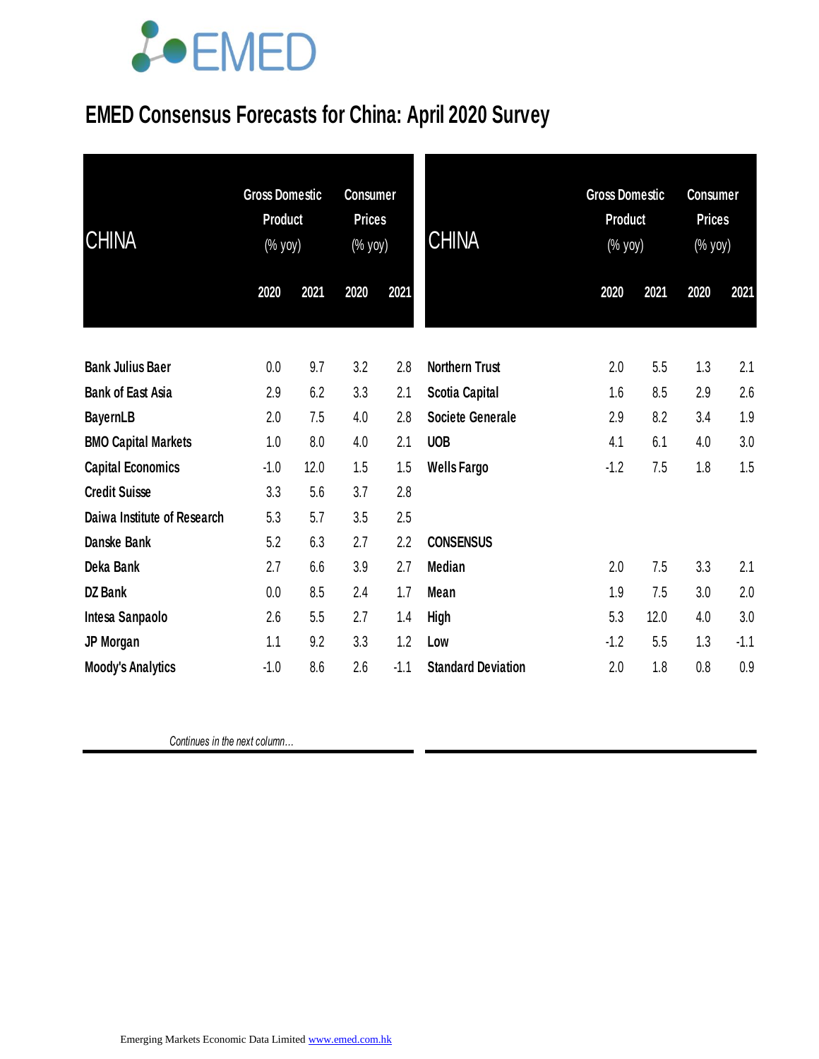

# **EMED Consensus Forecasts for China: April 2020 Survey**

| <b>CHINA</b>                | <b>Gross Domestic</b><br><b>Product</b><br>(% yoy) |      | <b>Consumer</b><br><b>Prices</b><br>(% yoy) |        | <b>CHINA</b>              | <b>Gross Domestic</b><br>Product<br>$(\%$ yoy) |      | <b>Consumer</b><br><b>Prices</b><br>$(% \mathsf{Y}^{\prime }\mathsf{Y}^{\prime })$ (% $\mathsf{Y}^{\prime }\mathsf{Y}^{\prime }\mathsf{Y}^{\prime })$ |        |
|-----------------------------|----------------------------------------------------|------|---------------------------------------------|--------|---------------------------|------------------------------------------------|------|-------------------------------------------------------------------------------------------------------------------------------------------------------|--------|
|                             | 2020                                               | 2021 | 2020                                        | 2021   |                           | 2020                                           | 2021 | 2020                                                                                                                                                  | 2021   |
| <b>Bank Julius Baer</b>     | 0.0                                                | 9.7  | 3.2                                         | 2.8    | <b>Northern Trust</b>     | 2.0                                            | 5.5  | 1.3                                                                                                                                                   | 2.1    |
| <b>Bank of East Asia</b>    | 2.9                                                | 6.2  | 3.3                                         | 2.1    | Scotia Capital            | 1.6                                            | 8.5  | 2.9                                                                                                                                                   | 2.6    |
| <b>BayernLB</b>             | 2.0                                                | 7.5  | 4.0                                         | 2.8    | <b>Societe Generale</b>   | 2.9                                            | 8.2  | 3.4                                                                                                                                                   | 1.9    |
| <b>BMO Capital Markets</b>  | 1.0                                                | 8.0  | 4.0                                         | 2.1    | <b>UOB</b>                | 4.1                                            | 6.1  | 4.0                                                                                                                                                   | 3.0    |
| <b>Capital Economics</b>    | $-1.0$                                             | 12.0 | 1.5                                         | 1.5    | <b>Wells Fargo</b>        | $-1.2$                                         | 7.5  | 1.8                                                                                                                                                   | 1.5    |
| <b>Credit Suisse</b>        | 3.3                                                | 5.6  | 3.7                                         | 2.8    |                           |                                                |      |                                                                                                                                                       |        |
| Daiwa Institute of Research | 5.3                                                | 5.7  | 3.5                                         | 2.5    |                           |                                                |      |                                                                                                                                                       |        |
| Danske Bank                 | 5.2                                                | 6.3  | 2.7                                         | 2.2    | <b>CONSENSUS</b>          |                                                |      |                                                                                                                                                       |        |
| Deka Bank                   | 2.7                                                | 6.6  | 3.9                                         | 2.7    | <b>Median</b>             | 2.0                                            | 7.5  | 3.3                                                                                                                                                   | 2.1    |
| <b>DZ Bank</b>              | 0.0                                                | 8.5  | 2.4                                         | 1.7    | Mean                      | 1.9                                            | 7.5  | 3.0                                                                                                                                                   | 2.0    |
| Intesa Sanpaolo             | 2.6                                                | 5.5  | 2.7                                         | 1.4    | <b>High</b>               | 5.3                                            | 12.0 | 4.0                                                                                                                                                   | 3.0    |
| JP Morgan                   | 1.1                                                | 9.2  | 3.3                                         | 1.2    | Low                       | $-1.2$                                         | 5.5  | 1.3                                                                                                                                                   | $-1.1$ |
| <b>Moody's Analytics</b>    | $-1.0$                                             | 8.6  | 2.6                                         | $-1.1$ | <b>Standard Deviation</b> | 2.0                                            | 1.8  | 0.8                                                                                                                                                   | 0.9    |